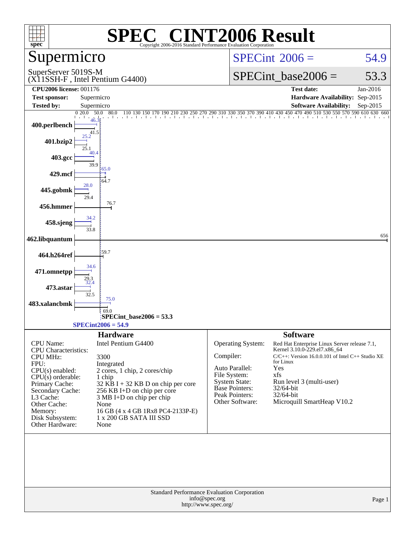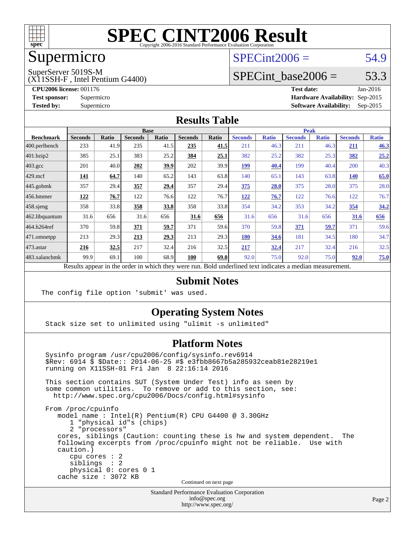

## Supermicro

### $SPECint2006 = 54.9$  $SPECint2006 = 54.9$

SuperServer 5019S-M

(X11SSH-F , Intel Pentium G4400)

SPECint base2006 =  $53.3$ 

**[CPU2006 license:](http://www.spec.org/auto/cpu2006/Docs/result-fields.html#CPU2006license)** 001176 **[Test date:](http://www.spec.org/auto/cpu2006/Docs/result-fields.html#Testdate)** Jan-2016 **[Test sponsor:](http://www.spec.org/auto/cpu2006/Docs/result-fields.html#Testsponsor)** Supermicro **[Hardware Availability:](http://www.spec.org/auto/cpu2006/Docs/result-fields.html#HardwareAvailability)** Sep-2015 **[Tested by:](http://www.spec.org/auto/cpu2006/Docs/result-fields.html#Testedby)** Supermicro **Supermicro [Software Availability:](http://www.spec.org/auto/cpu2006/Docs/result-fields.html#SoftwareAvailability)** Sep-2015

#### **[Results Table](http://www.spec.org/auto/cpu2006/Docs/result-fields.html#ResultsTable)**

|                                                                                                          | <b>Base</b>    |              |                |       |                | <b>Peak</b> |                |              |                |              |                |              |
|----------------------------------------------------------------------------------------------------------|----------------|--------------|----------------|-------|----------------|-------------|----------------|--------------|----------------|--------------|----------------|--------------|
| <b>Benchmark</b>                                                                                         | <b>Seconds</b> | <b>Ratio</b> | <b>Seconds</b> | Ratio | <b>Seconds</b> | Ratio       | <b>Seconds</b> | <b>Ratio</b> | <b>Seconds</b> | <b>Ratio</b> | <b>Seconds</b> | <b>Ratio</b> |
| 400.perlbench                                                                                            | 233            | 41.9         | 235            | 41.5  | 235            | 41.5        | 211            | 46.3         | 211            | 46.3         | 211            | 46.3         |
| 401.bzip2                                                                                                | 385            | 25.1         | 383            | 25.2  | 384            | 25.1        | 382            | 25.2         | 382            | 25.3         | 382            | 25.2         |
| $403.\text{gcc}$                                                                                         | 201            | 40.0         | 202            | 39.9  | 202            | 39.9        | 199            | 40.4         | 199            | 40.4         | 200            | 40.3         |
| $429$ .mcf                                                                                               | 141            | 64.7         | 140            | 65.2  | 143            | 63.8        | 140            | 65.1         | 143            | 63.8         | 140            | 65.0         |
| $445$ .gobmk                                                                                             | 357            | 29.4         | 357            | 29.4  | 357            | 29.4        | 375            | 28.0         | 375            | 28.0         | 375            | 28.0         |
| $456.$ hmmer                                                                                             | <u>122</u>     | 76.7         | 122            | 76.6  | 122            | 76.7        | <u>122</u>     | 76.7         | 122            | 76.6         | 122            | 76.7         |
| $458$ .sjeng                                                                                             | 358            | 33.8         | 358            | 33.8  | 358            | 33.8        | 354            | 34.2         | 353            | 34.2         | 354            | 34.2         |
| 462.libquantum                                                                                           | 31.6           | 656          | 31.6           | 656   | 31.6           | 656         | 31.6           | 656          | 31.6           | 656          | 31.6           | 656          |
| 464.h264ref                                                                                              | 370            | 59.8         | 371            | 59.7  | 371            | 59.6        | 370            | 59.8         | 371            | 59.7         | 371            | 59.6         |
| $ 471$ .omnetpp                                                                                          | 213            | 29.3         | 213            | 29.3  | 213            | 29.3        | 180            | 34.6         | 181            | 34.5         | 180            | 34.7         |
| $ 473$ . astar                                                                                           | 216            | 32.5         | 217            | 32.4  | 216            | 32.5        | 217            | 32.4         | 217            | 32.4         | 216            | 32.5         |
| 483.xalancbmk                                                                                            | 99.9           | 69.1         | 100            | 68.9  | <b>100</b>     | 69.0        | 92.0           | 75.0         | 92.0           | 75.0         | 92.0           | 75.0         |
| Results appear in the order in which they were run. Bold underlined text indicates a median measurement. |                |              |                |       |                |             |                |              |                |              |                |              |

#### **[Submit Notes](http://www.spec.org/auto/cpu2006/Docs/result-fields.html#SubmitNotes)**

The config file option 'submit' was used.

#### **[Operating System Notes](http://www.spec.org/auto/cpu2006/Docs/result-fields.html#OperatingSystemNotes)**

Stack size set to unlimited using "ulimit -s unlimited"

#### **[Platform Notes](http://www.spec.org/auto/cpu2006/Docs/result-fields.html#PlatformNotes)**

 Sysinfo program /usr/cpu2006/config/sysinfo.rev6914 \$Rev: 6914 \$ \$Date:: 2014-06-25 #\$ e3fbb8667b5a285932ceab81e28219e1 running on X11SSH-01 Fri Jan 8 22:16:14 2016 This section contains SUT (System Under Test) info as seen by some common utilities. To remove or add to this section, see: <http://www.spec.org/cpu2006/Docs/config.html#sysinfo> From /proc/cpuinfo model name : Intel(R) Pentium(R) CPU G4400 @ 3.30GHz 1 "physical id"s (chips) 2 "processors" cores, siblings (Caution: counting these is hw and system dependent. The following excerpts from /proc/cpuinfo might not be reliable. Use with caution.) cpu cores : 2 siblings : 2 physical 0: cores 0 1 cache size : 3072 KB Continued on next page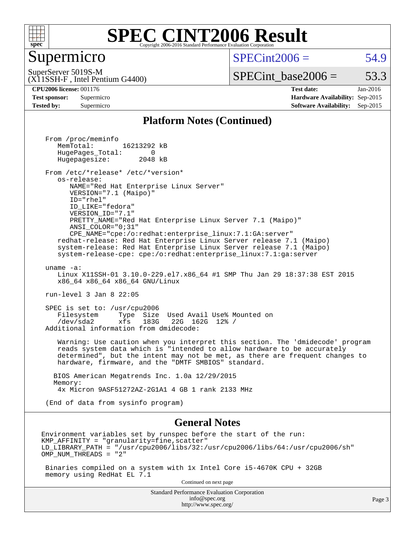

#### Supermicro

 $SPECint2006 = 54.9$  $SPECint2006 = 54.9$ 

(X11SSH-F , Intel Pentium G4400) SuperServer 5019S-M

 $SPECTnt\_base2006 = 53.3$ 

**[CPU2006 license:](http://www.spec.org/auto/cpu2006/Docs/result-fields.html#CPU2006license)** 001176 **[Test date:](http://www.spec.org/auto/cpu2006/Docs/result-fields.html#Testdate)** Jan-2016 **[Test sponsor:](http://www.spec.org/auto/cpu2006/Docs/result-fields.html#Testsponsor)** Supermicro **[Hardware Availability:](http://www.spec.org/auto/cpu2006/Docs/result-fields.html#HardwareAvailability)** Sep-2015 **[Tested by:](http://www.spec.org/auto/cpu2006/Docs/result-fields.html#Testedby)** Supermicro **[Software Availability:](http://www.spec.org/auto/cpu2006/Docs/result-fields.html#SoftwareAvailability)** Sep-2015

#### **[Platform Notes \(Continued\)](http://www.spec.org/auto/cpu2006/Docs/result-fields.html#PlatformNotes)**

Standard Performance Evaluation Corporation [info@spec.org](mailto:info@spec.org) From /proc/meminfo MemTotal: 16213292 kB HugePages\_Total: 0<br>Hugepagesize: 2048 kB Hugepagesize: From /etc/\*release\* /etc/\*version\* os-release: NAME="Red Hat Enterprise Linux Server" VERSION="7.1 (Maipo)" ID="rhel" ID\_LIKE="fedora" VERSION\_ID="7.1" PRETTY\_NAME="Red Hat Enterprise Linux Server 7.1 (Maipo)" ANSI\_COLOR="0;31" CPE\_NAME="cpe:/o:redhat:enterprise\_linux:7.1:GA:server" redhat-release: Red Hat Enterprise Linux Server release 7.1 (Maipo) system-release: Red Hat Enterprise Linux Server release 7.1 (Maipo) system-release-cpe: cpe:/o:redhat:enterprise\_linux:7.1:ga:server uname -a: Linux X11SSH-01 3.10.0-229.el7.x86\_64 #1 SMP Thu Jan 29 18:37:38 EST 2015 x86\_64 x86\_64 x86\_64 GNU/Linux run-level 3 Jan 8 22:05 SPEC is set to: /usr/cpu2006 Filesystem Type Size Used Avail Use% Mounted on<br>
/dev/sda2 xfs 183G 22G 162G 12% / 22G 162G 12% / Additional information from dmidecode: Warning: Use caution when you interpret this section. The 'dmidecode' program reads system data which is "intended to allow hardware to be accurately determined", but the intent may not be met, as there are frequent changes to hardware, firmware, and the "DMTF SMBIOS" standard. BIOS American Megatrends Inc. 1.0a 12/29/2015 Memory: 4x Micron 9ASF51272AZ-2G1A1 4 GB 1 rank 2133 MHz (End of data from sysinfo program) **[General Notes](http://www.spec.org/auto/cpu2006/Docs/result-fields.html#GeneralNotes)** Environment variables set by runspec before the start of the run:  $KMP$  AFFINITY = "granularity=fine, scatter" LD\_LIBRARY\_PATH = "/usr/cpu2006/libs/32:/usr/cpu2006/libs/64:/usr/cpu2006/sh" OMP\_NUM\_THREADS = "2" Binaries compiled on a system with 1x Intel Core i5-4670K CPU + 32GB memory using RedHat EL 7.1 Continued on next page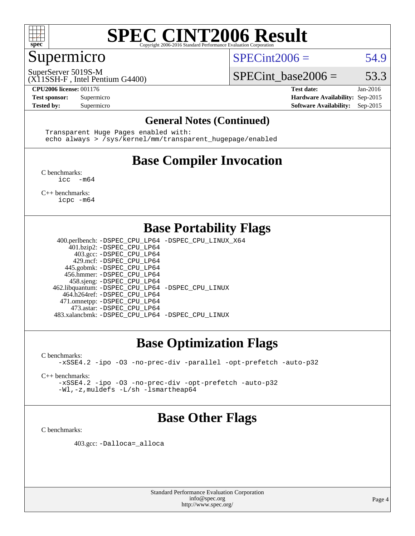

#### Supermicro

 $SPECint2006 = 54.9$  $SPECint2006 = 54.9$ 

(X11SSH-F , Intel Pentium G4400) SuperServer 5019S-M

SPECint base2006 =  $53.3$ 

**[CPU2006 license:](http://www.spec.org/auto/cpu2006/Docs/result-fields.html#CPU2006license)** 001176 **[Test date:](http://www.spec.org/auto/cpu2006/Docs/result-fields.html#Testdate)** Jan-2016 **[Test sponsor:](http://www.spec.org/auto/cpu2006/Docs/result-fields.html#Testsponsor)** Supermicro **[Hardware Availability:](http://www.spec.org/auto/cpu2006/Docs/result-fields.html#HardwareAvailability)** Sep-2015 **[Tested by:](http://www.spec.org/auto/cpu2006/Docs/result-fields.html#Testedby)** Supermicro **Supermicro [Software Availability:](http://www.spec.org/auto/cpu2006/Docs/result-fields.html#SoftwareAvailability)** Sep-2015

#### **[General Notes \(Continued\)](http://www.spec.org/auto/cpu2006/Docs/result-fields.html#GeneralNotes)**

 Transparent Huge Pages enabled with: echo always > /sys/kernel/mm/transparent\_hugepage/enabled

## **[Base Compiler Invocation](http://www.spec.org/auto/cpu2006/Docs/result-fields.html#BaseCompilerInvocation)**

[C benchmarks](http://www.spec.org/auto/cpu2006/Docs/result-fields.html#Cbenchmarks): [icc -m64](http://www.spec.org/cpu2006/results/res2016q1/cpu2006-20160111-38656.flags.html#user_CCbase_intel_icc_64bit_f346026e86af2a669e726fe758c88044)

[C++ benchmarks:](http://www.spec.org/auto/cpu2006/Docs/result-fields.html#CXXbenchmarks) [icpc -m64](http://www.spec.org/cpu2006/results/res2016q1/cpu2006-20160111-38656.flags.html#user_CXXbase_intel_icpc_64bit_fc66a5337ce925472a5c54ad6a0de310)

#### **[Base Portability Flags](http://www.spec.org/auto/cpu2006/Docs/result-fields.html#BasePortabilityFlags)**

 400.perlbench: [-DSPEC\\_CPU\\_LP64](http://www.spec.org/cpu2006/results/res2016q1/cpu2006-20160111-38656.flags.html#b400.perlbench_basePORTABILITY_DSPEC_CPU_LP64) [-DSPEC\\_CPU\\_LINUX\\_X64](http://www.spec.org/cpu2006/results/res2016q1/cpu2006-20160111-38656.flags.html#b400.perlbench_baseCPORTABILITY_DSPEC_CPU_LINUX_X64) 401.bzip2: [-DSPEC\\_CPU\\_LP64](http://www.spec.org/cpu2006/results/res2016q1/cpu2006-20160111-38656.flags.html#suite_basePORTABILITY401_bzip2_DSPEC_CPU_LP64) 403.gcc: [-DSPEC\\_CPU\\_LP64](http://www.spec.org/cpu2006/results/res2016q1/cpu2006-20160111-38656.flags.html#suite_basePORTABILITY403_gcc_DSPEC_CPU_LP64) 429.mcf: [-DSPEC\\_CPU\\_LP64](http://www.spec.org/cpu2006/results/res2016q1/cpu2006-20160111-38656.flags.html#suite_basePORTABILITY429_mcf_DSPEC_CPU_LP64) 445.gobmk: [-DSPEC\\_CPU\\_LP64](http://www.spec.org/cpu2006/results/res2016q1/cpu2006-20160111-38656.flags.html#suite_basePORTABILITY445_gobmk_DSPEC_CPU_LP64) 456.hmmer: [-DSPEC\\_CPU\\_LP64](http://www.spec.org/cpu2006/results/res2016q1/cpu2006-20160111-38656.flags.html#suite_basePORTABILITY456_hmmer_DSPEC_CPU_LP64) 458.sjeng: [-DSPEC\\_CPU\\_LP64](http://www.spec.org/cpu2006/results/res2016q1/cpu2006-20160111-38656.flags.html#suite_basePORTABILITY458_sjeng_DSPEC_CPU_LP64) 462.libquantum: [-DSPEC\\_CPU\\_LP64](http://www.spec.org/cpu2006/results/res2016q1/cpu2006-20160111-38656.flags.html#suite_basePORTABILITY462_libquantum_DSPEC_CPU_LP64) [-DSPEC\\_CPU\\_LINUX](http://www.spec.org/cpu2006/results/res2016q1/cpu2006-20160111-38656.flags.html#b462.libquantum_baseCPORTABILITY_DSPEC_CPU_LINUX) 464.h264ref: [-DSPEC\\_CPU\\_LP64](http://www.spec.org/cpu2006/results/res2016q1/cpu2006-20160111-38656.flags.html#suite_basePORTABILITY464_h264ref_DSPEC_CPU_LP64) 471.omnetpp: [-DSPEC\\_CPU\\_LP64](http://www.spec.org/cpu2006/results/res2016q1/cpu2006-20160111-38656.flags.html#suite_basePORTABILITY471_omnetpp_DSPEC_CPU_LP64) 473.astar: [-DSPEC\\_CPU\\_LP64](http://www.spec.org/cpu2006/results/res2016q1/cpu2006-20160111-38656.flags.html#suite_basePORTABILITY473_astar_DSPEC_CPU_LP64) 483.xalancbmk: [-DSPEC\\_CPU\\_LP64](http://www.spec.org/cpu2006/results/res2016q1/cpu2006-20160111-38656.flags.html#suite_basePORTABILITY483_xalancbmk_DSPEC_CPU_LP64) [-DSPEC\\_CPU\\_LINUX](http://www.spec.org/cpu2006/results/res2016q1/cpu2006-20160111-38656.flags.html#b483.xalancbmk_baseCXXPORTABILITY_DSPEC_CPU_LINUX)

### **[Base Optimization Flags](http://www.spec.org/auto/cpu2006/Docs/result-fields.html#BaseOptimizationFlags)**

[C benchmarks](http://www.spec.org/auto/cpu2006/Docs/result-fields.html#Cbenchmarks): [-xSSE4.2](http://www.spec.org/cpu2006/results/res2016q1/cpu2006-20160111-38656.flags.html#user_CCbase_f-xSSE42_f91528193cf0b216347adb8b939d4107) [-ipo](http://www.spec.org/cpu2006/results/res2016q1/cpu2006-20160111-38656.flags.html#user_CCbase_f-ipo) [-O3](http://www.spec.org/cpu2006/results/res2016q1/cpu2006-20160111-38656.flags.html#user_CCbase_f-O3) [-no-prec-div](http://www.spec.org/cpu2006/results/res2016q1/cpu2006-20160111-38656.flags.html#user_CCbase_f-no-prec-div) [-parallel](http://www.spec.org/cpu2006/results/res2016q1/cpu2006-20160111-38656.flags.html#user_CCbase_f-parallel) [-opt-prefetch](http://www.spec.org/cpu2006/results/res2016q1/cpu2006-20160111-38656.flags.html#user_CCbase_f-opt-prefetch) [-auto-p32](http://www.spec.org/cpu2006/results/res2016q1/cpu2006-20160111-38656.flags.html#user_CCbase_f-auto-p32)

[C++ benchmarks:](http://www.spec.org/auto/cpu2006/Docs/result-fields.html#CXXbenchmarks)

[-xSSE4.2](http://www.spec.org/cpu2006/results/res2016q1/cpu2006-20160111-38656.flags.html#user_CXXbase_f-xSSE42_f91528193cf0b216347adb8b939d4107) [-ipo](http://www.spec.org/cpu2006/results/res2016q1/cpu2006-20160111-38656.flags.html#user_CXXbase_f-ipo) [-O3](http://www.spec.org/cpu2006/results/res2016q1/cpu2006-20160111-38656.flags.html#user_CXXbase_f-O3) [-no-prec-div](http://www.spec.org/cpu2006/results/res2016q1/cpu2006-20160111-38656.flags.html#user_CXXbase_f-no-prec-div) [-opt-prefetch](http://www.spec.org/cpu2006/results/res2016q1/cpu2006-20160111-38656.flags.html#user_CXXbase_f-opt-prefetch) [-auto-p32](http://www.spec.org/cpu2006/results/res2016q1/cpu2006-20160111-38656.flags.html#user_CXXbase_f-auto-p32) [-Wl,-z,muldefs](http://www.spec.org/cpu2006/results/res2016q1/cpu2006-20160111-38656.flags.html#user_CXXbase_link_force_multiple1_74079c344b956b9658436fd1b6dd3a8a) [-L/sh -lsmartheap64](http://www.spec.org/cpu2006/results/res2016q1/cpu2006-20160111-38656.flags.html#user_CXXbase_SmartHeap64_ed4ef857ce90951921efb0d91eb88472)

### **[Base Other Flags](http://www.spec.org/auto/cpu2006/Docs/result-fields.html#BaseOtherFlags)**

[C benchmarks](http://www.spec.org/auto/cpu2006/Docs/result-fields.html#Cbenchmarks):

403.gcc: [-Dalloca=\\_alloca](http://www.spec.org/cpu2006/results/res2016q1/cpu2006-20160111-38656.flags.html#b403.gcc_baseEXTRA_CFLAGS_Dalloca_be3056838c12de2578596ca5467af7f3)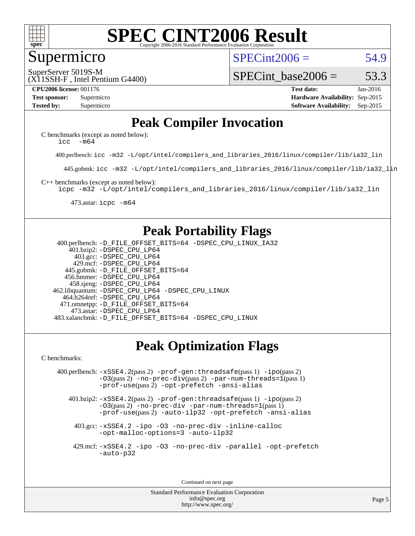

#### Supermicro

 $SPECint2006 = 54.9$  $SPECint2006 = 54.9$ 

(X11SSH-F , Intel Pentium G4400) SuperServer 5019S-M

SPECint base2006 =  $53.3$ 

**[CPU2006 license:](http://www.spec.org/auto/cpu2006/Docs/result-fields.html#CPU2006license)** 001176 **[Test date:](http://www.spec.org/auto/cpu2006/Docs/result-fields.html#Testdate)** Jan-2016 **[Test sponsor:](http://www.spec.org/auto/cpu2006/Docs/result-fields.html#Testsponsor)** Supermicro **[Hardware Availability:](http://www.spec.org/auto/cpu2006/Docs/result-fields.html#HardwareAvailability)** Sep-2015 **[Tested by:](http://www.spec.org/auto/cpu2006/Docs/result-fields.html#Testedby)** Supermicro **Supermicro [Software Availability:](http://www.spec.org/auto/cpu2006/Docs/result-fields.html#SoftwareAvailability)** Sep-2015

### **[Peak Compiler Invocation](http://www.spec.org/auto/cpu2006/Docs/result-fields.html#PeakCompilerInvocation)**

[C benchmarks \(except as noted below\)](http://www.spec.org/auto/cpu2006/Docs/result-fields.html#Cbenchmarksexceptasnotedbelow): icc  $-m64$ 

400.perlbench: [icc -m32 -L/opt/intel/compilers\\_and\\_libraries\\_2016/linux/compiler/lib/ia32\\_lin](http://www.spec.org/cpu2006/results/res2016q1/cpu2006-20160111-38656.flags.html#user_peakCCLD400_perlbench_intel_icc_e10256ba5924b668798078a321b0cb3f)

445.gobmk: [icc -m32 -L/opt/intel/compilers\\_and\\_libraries\\_2016/linux/compiler/lib/ia32\\_lin](http://www.spec.org/cpu2006/results/res2016q1/cpu2006-20160111-38656.flags.html#user_peakCCLD445_gobmk_intel_icc_e10256ba5924b668798078a321b0cb3f)

[C++ benchmarks \(except as noted below\):](http://www.spec.org/auto/cpu2006/Docs/result-fields.html#CXXbenchmarksexceptasnotedbelow)

[icpc -m32 -L/opt/intel/compilers\\_and\\_libraries\\_2016/linux/compiler/lib/ia32\\_lin](http://www.spec.org/cpu2006/results/res2016q1/cpu2006-20160111-38656.flags.html#user_CXXpeak_intel_icpc_b4f50a394bdb4597aa5879c16bc3f5c5)

473.astar: [icpc -m64](http://www.spec.org/cpu2006/results/res2016q1/cpu2006-20160111-38656.flags.html#user_peakCXXLD473_astar_intel_icpc_64bit_fc66a5337ce925472a5c54ad6a0de310)

#### **[Peak Portability Flags](http://www.spec.org/auto/cpu2006/Docs/result-fields.html#PeakPortabilityFlags)**

 400.perlbench: [-D\\_FILE\\_OFFSET\\_BITS=64](http://www.spec.org/cpu2006/results/res2016q1/cpu2006-20160111-38656.flags.html#user_peakPORTABILITY400_perlbench_file_offset_bits_64_438cf9856305ebd76870a2c6dc2689ab) [-DSPEC\\_CPU\\_LINUX\\_IA32](http://www.spec.org/cpu2006/results/res2016q1/cpu2006-20160111-38656.flags.html#b400.perlbench_peakCPORTABILITY_DSPEC_CPU_LINUX_IA32) 401.bzip2: [-DSPEC\\_CPU\\_LP64](http://www.spec.org/cpu2006/results/res2016q1/cpu2006-20160111-38656.flags.html#suite_peakPORTABILITY401_bzip2_DSPEC_CPU_LP64) 403.gcc: [-DSPEC\\_CPU\\_LP64](http://www.spec.org/cpu2006/results/res2016q1/cpu2006-20160111-38656.flags.html#suite_peakPORTABILITY403_gcc_DSPEC_CPU_LP64) 429.mcf: [-DSPEC\\_CPU\\_LP64](http://www.spec.org/cpu2006/results/res2016q1/cpu2006-20160111-38656.flags.html#suite_peakPORTABILITY429_mcf_DSPEC_CPU_LP64) 445.gobmk: [-D\\_FILE\\_OFFSET\\_BITS=64](http://www.spec.org/cpu2006/results/res2016q1/cpu2006-20160111-38656.flags.html#user_peakPORTABILITY445_gobmk_file_offset_bits_64_438cf9856305ebd76870a2c6dc2689ab) 456.hmmer: [-DSPEC\\_CPU\\_LP64](http://www.spec.org/cpu2006/results/res2016q1/cpu2006-20160111-38656.flags.html#suite_peakPORTABILITY456_hmmer_DSPEC_CPU_LP64) 458.sjeng: [-DSPEC\\_CPU\\_LP64](http://www.spec.org/cpu2006/results/res2016q1/cpu2006-20160111-38656.flags.html#suite_peakPORTABILITY458_sjeng_DSPEC_CPU_LP64) 462.libquantum: [-DSPEC\\_CPU\\_LP64](http://www.spec.org/cpu2006/results/res2016q1/cpu2006-20160111-38656.flags.html#suite_peakPORTABILITY462_libquantum_DSPEC_CPU_LP64) [-DSPEC\\_CPU\\_LINUX](http://www.spec.org/cpu2006/results/res2016q1/cpu2006-20160111-38656.flags.html#b462.libquantum_peakCPORTABILITY_DSPEC_CPU_LINUX) 464.h264ref: [-DSPEC\\_CPU\\_LP64](http://www.spec.org/cpu2006/results/res2016q1/cpu2006-20160111-38656.flags.html#suite_peakPORTABILITY464_h264ref_DSPEC_CPU_LP64) 471.omnetpp: [-D\\_FILE\\_OFFSET\\_BITS=64](http://www.spec.org/cpu2006/results/res2016q1/cpu2006-20160111-38656.flags.html#user_peakPORTABILITY471_omnetpp_file_offset_bits_64_438cf9856305ebd76870a2c6dc2689ab) 473.astar: [-DSPEC\\_CPU\\_LP64](http://www.spec.org/cpu2006/results/res2016q1/cpu2006-20160111-38656.flags.html#suite_peakPORTABILITY473_astar_DSPEC_CPU_LP64) 483.xalancbmk: [-D\\_FILE\\_OFFSET\\_BITS=64](http://www.spec.org/cpu2006/results/res2016q1/cpu2006-20160111-38656.flags.html#user_peakPORTABILITY483_xalancbmk_file_offset_bits_64_438cf9856305ebd76870a2c6dc2689ab) [-DSPEC\\_CPU\\_LINUX](http://www.spec.org/cpu2006/results/res2016q1/cpu2006-20160111-38656.flags.html#b483.xalancbmk_peakCXXPORTABILITY_DSPEC_CPU_LINUX)

## **[Peak Optimization Flags](http://www.spec.org/auto/cpu2006/Docs/result-fields.html#PeakOptimizationFlags)**

[C benchmarks](http://www.spec.org/auto/cpu2006/Docs/result-fields.html#Cbenchmarks):

 400.perlbench: [-xSSE4.2](http://www.spec.org/cpu2006/results/res2016q1/cpu2006-20160111-38656.flags.html#user_peakPASS2_CFLAGSPASS2_LDCFLAGS400_perlbench_f-xSSE42_f91528193cf0b216347adb8b939d4107)(pass 2) [-prof-gen:threadsafe](http://www.spec.org/cpu2006/results/res2016q1/cpu2006-20160111-38656.flags.html#user_peakPASS1_CFLAGSPASS1_LDCFLAGS400_perlbench_prof_gen_21a26eb79f378b550acd7bec9fe4467a)(pass 1) [-ipo](http://www.spec.org/cpu2006/results/res2016q1/cpu2006-20160111-38656.flags.html#user_peakPASS2_CFLAGSPASS2_LDCFLAGS400_perlbench_f-ipo)(pass 2) [-O3](http://www.spec.org/cpu2006/results/res2016q1/cpu2006-20160111-38656.flags.html#user_peakPASS2_CFLAGSPASS2_LDCFLAGS400_perlbench_f-O3)(pass 2) [-no-prec-div](http://www.spec.org/cpu2006/results/res2016q1/cpu2006-20160111-38656.flags.html#user_peakPASS2_CFLAGSPASS2_LDCFLAGS400_perlbench_f-no-prec-div)(pass 2) [-par-num-threads=1](http://www.spec.org/cpu2006/results/res2016q1/cpu2006-20160111-38656.flags.html#user_peakPASS1_CFLAGSPASS1_LDCFLAGS400_perlbench_par_num_threads_786a6ff141b4e9e90432e998842df6c2)(pass 1) [-prof-use](http://www.spec.org/cpu2006/results/res2016q1/cpu2006-20160111-38656.flags.html#user_peakPASS2_CFLAGSPASS2_LDCFLAGS400_perlbench_prof_use_bccf7792157ff70d64e32fe3e1250b55)(pass 2) [-opt-prefetch](http://www.spec.org/cpu2006/results/res2016q1/cpu2006-20160111-38656.flags.html#user_peakCOPTIMIZE400_perlbench_f-opt-prefetch) [-ansi-alias](http://www.spec.org/cpu2006/results/res2016q1/cpu2006-20160111-38656.flags.html#user_peakCOPTIMIZE400_perlbench_f-ansi-alias)

 401.bzip2: [-xSSE4.2](http://www.spec.org/cpu2006/results/res2016q1/cpu2006-20160111-38656.flags.html#user_peakPASS2_CFLAGSPASS2_LDCFLAGS401_bzip2_f-xSSE42_f91528193cf0b216347adb8b939d4107)(pass 2) [-prof-gen:threadsafe](http://www.spec.org/cpu2006/results/res2016q1/cpu2006-20160111-38656.flags.html#user_peakPASS1_CFLAGSPASS1_LDCFLAGS401_bzip2_prof_gen_21a26eb79f378b550acd7bec9fe4467a)(pass 1) [-ipo](http://www.spec.org/cpu2006/results/res2016q1/cpu2006-20160111-38656.flags.html#user_peakPASS2_CFLAGSPASS2_LDCFLAGS401_bzip2_f-ipo)(pass 2) [-O3](http://www.spec.org/cpu2006/results/res2016q1/cpu2006-20160111-38656.flags.html#user_peakPASS2_CFLAGSPASS2_LDCFLAGS401_bzip2_f-O3)(pass 2) [-no-prec-div](http://www.spec.org/cpu2006/results/res2016q1/cpu2006-20160111-38656.flags.html#user_peakCOPTIMIZEPASS2_CFLAGSPASS2_LDCFLAGS401_bzip2_f-no-prec-div) [-par-num-threads=1](http://www.spec.org/cpu2006/results/res2016q1/cpu2006-20160111-38656.flags.html#user_peakPASS1_CFLAGSPASS1_LDCFLAGS401_bzip2_par_num_threads_786a6ff141b4e9e90432e998842df6c2)(pass 1) [-prof-use](http://www.spec.org/cpu2006/results/res2016q1/cpu2006-20160111-38656.flags.html#user_peakPASS2_CFLAGSPASS2_LDCFLAGS401_bzip2_prof_use_bccf7792157ff70d64e32fe3e1250b55)(pass 2) [-auto-ilp32](http://www.spec.org/cpu2006/results/res2016q1/cpu2006-20160111-38656.flags.html#user_peakCOPTIMIZE401_bzip2_f-auto-ilp32) [-opt-prefetch](http://www.spec.org/cpu2006/results/res2016q1/cpu2006-20160111-38656.flags.html#user_peakCOPTIMIZE401_bzip2_f-opt-prefetch) [-ansi-alias](http://www.spec.org/cpu2006/results/res2016q1/cpu2006-20160111-38656.flags.html#user_peakCOPTIMIZE401_bzip2_f-ansi-alias)

 403.gcc: [-xSSE4.2](http://www.spec.org/cpu2006/results/res2016q1/cpu2006-20160111-38656.flags.html#user_peakCOPTIMIZE403_gcc_f-xSSE42_f91528193cf0b216347adb8b939d4107) [-ipo](http://www.spec.org/cpu2006/results/res2016q1/cpu2006-20160111-38656.flags.html#user_peakCOPTIMIZE403_gcc_f-ipo) [-O3](http://www.spec.org/cpu2006/results/res2016q1/cpu2006-20160111-38656.flags.html#user_peakCOPTIMIZE403_gcc_f-O3) [-no-prec-div](http://www.spec.org/cpu2006/results/res2016q1/cpu2006-20160111-38656.flags.html#user_peakCOPTIMIZE403_gcc_f-no-prec-div) [-inline-calloc](http://www.spec.org/cpu2006/results/res2016q1/cpu2006-20160111-38656.flags.html#user_peakCOPTIMIZE403_gcc_f-inline-calloc) [-opt-malloc-options=3](http://www.spec.org/cpu2006/results/res2016q1/cpu2006-20160111-38656.flags.html#user_peakCOPTIMIZE403_gcc_f-opt-malloc-options_13ab9b803cf986b4ee62f0a5998c2238) [-auto-ilp32](http://www.spec.org/cpu2006/results/res2016q1/cpu2006-20160111-38656.flags.html#user_peakCOPTIMIZE403_gcc_f-auto-ilp32)

 429.mcf: [-xSSE4.2](http://www.spec.org/cpu2006/results/res2016q1/cpu2006-20160111-38656.flags.html#user_peakCOPTIMIZE429_mcf_f-xSSE42_f91528193cf0b216347adb8b939d4107) [-ipo](http://www.spec.org/cpu2006/results/res2016q1/cpu2006-20160111-38656.flags.html#user_peakCOPTIMIZE429_mcf_f-ipo) [-O3](http://www.spec.org/cpu2006/results/res2016q1/cpu2006-20160111-38656.flags.html#user_peakCOPTIMIZE429_mcf_f-O3) [-no-prec-div](http://www.spec.org/cpu2006/results/res2016q1/cpu2006-20160111-38656.flags.html#user_peakCOPTIMIZE429_mcf_f-no-prec-div) [-parallel](http://www.spec.org/cpu2006/results/res2016q1/cpu2006-20160111-38656.flags.html#user_peakCOPTIMIZE429_mcf_f-parallel) [-opt-prefetch](http://www.spec.org/cpu2006/results/res2016q1/cpu2006-20160111-38656.flags.html#user_peakCOPTIMIZE429_mcf_f-opt-prefetch) [-auto-p32](http://www.spec.org/cpu2006/results/res2016q1/cpu2006-20160111-38656.flags.html#user_peakCOPTIMIZE429_mcf_f-auto-p32)

Continued on next page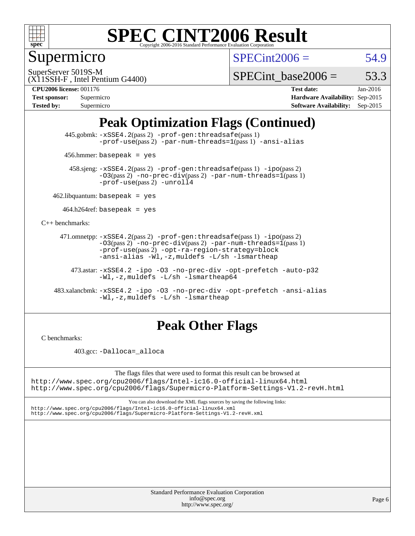

## Supermicro

 $SPECint2006 = 54.9$  $SPECint2006 = 54.9$ 

SuperServer 5019S-M

SPECint base2006 =  $53.3$ 

**[CPU2006 license:](http://www.spec.org/auto/cpu2006/Docs/result-fields.html#CPU2006license)** 001176 **[Test date:](http://www.spec.org/auto/cpu2006/Docs/result-fields.html#Testdate)** Jan-2016

| <b>Test sponsor:</b> | Supermicro |
|----------------------|------------|
| <b>Tested by:</b>    | Supermicro |

(X11SSH-F , Intel Pentium G4400)

**[Hardware Availability:](http://www.spec.org/auto/cpu2006/Docs/result-fields.html#HardwareAvailability)** Sep-2015 **[Software Availability:](http://www.spec.org/auto/cpu2006/Docs/result-fields.html#SoftwareAvailability)** Sep-2015

## **[Peak Optimization Flags \(Continued\)](http://www.spec.org/auto/cpu2006/Docs/result-fields.html#PeakOptimizationFlags)**

 445.gobmk: [-xSSE4.2](http://www.spec.org/cpu2006/results/res2016q1/cpu2006-20160111-38656.flags.html#user_peakPASS2_CFLAGSPASS2_LDCFLAGS445_gobmk_f-xSSE42_f91528193cf0b216347adb8b939d4107)(pass 2) [-prof-gen:threadsafe](http://www.spec.org/cpu2006/results/res2016q1/cpu2006-20160111-38656.flags.html#user_peakPASS1_CFLAGSPASS1_LDCFLAGS445_gobmk_prof_gen_21a26eb79f378b550acd7bec9fe4467a)(pass 1) [-prof-use](http://www.spec.org/cpu2006/results/res2016q1/cpu2006-20160111-38656.flags.html#user_peakPASS2_CFLAGSPASS2_LDCFLAGS445_gobmk_prof_use_bccf7792157ff70d64e32fe3e1250b55)(pass2) [-par-num-threads=1](http://www.spec.org/cpu2006/results/res2016q1/cpu2006-20160111-38656.flags.html#user_peakPASS1_CFLAGSPASS1_LDCFLAGS445_gobmk_par_num_threads_786a6ff141b4e9e90432e998842df6c2)(pass1) [-ansi-alias](http://www.spec.org/cpu2006/results/res2016q1/cpu2006-20160111-38656.flags.html#user_peakCOPTIMIZE445_gobmk_f-ansi-alias)

456.hmmer: basepeak = yes

 458.sjeng: [-xSSE4.2](http://www.spec.org/cpu2006/results/res2016q1/cpu2006-20160111-38656.flags.html#user_peakPASS2_CFLAGSPASS2_LDCFLAGS458_sjeng_f-xSSE42_f91528193cf0b216347adb8b939d4107)(pass 2) [-prof-gen:threadsafe](http://www.spec.org/cpu2006/results/res2016q1/cpu2006-20160111-38656.flags.html#user_peakPASS1_CFLAGSPASS1_LDCFLAGS458_sjeng_prof_gen_21a26eb79f378b550acd7bec9fe4467a)(pass 1) [-ipo](http://www.spec.org/cpu2006/results/res2016q1/cpu2006-20160111-38656.flags.html#user_peakPASS2_CFLAGSPASS2_LDCFLAGS458_sjeng_f-ipo)(pass 2)  $-03$ (pass 2)  $-$ no-prec-div(pass 2) [-par-num-threads=1](http://www.spec.org/cpu2006/results/res2016q1/cpu2006-20160111-38656.flags.html#user_peakPASS1_CFLAGSPASS1_LDCFLAGS458_sjeng_par_num_threads_786a6ff141b4e9e90432e998842df6c2)(pass 1) [-prof-use](http://www.spec.org/cpu2006/results/res2016q1/cpu2006-20160111-38656.flags.html#user_peakPASS2_CFLAGSPASS2_LDCFLAGS458_sjeng_prof_use_bccf7792157ff70d64e32fe3e1250b55)(pass 2) [-unroll4](http://www.spec.org/cpu2006/results/res2016q1/cpu2006-20160111-38656.flags.html#user_peakCOPTIMIZE458_sjeng_f-unroll_4e5e4ed65b7fd20bdcd365bec371b81f)

 $462$ .libquantum: basepeak = yes

 $464.h264$ ref: basepeak = yes

[C++ benchmarks:](http://www.spec.org/auto/cpu2006/Docs/result-fields.html#CXXbenchmarks)

 471.omnetpp: [-xSSE4.2](http://www.spec.org/cpu2006/results/res2016q1/cpu2006-20160111-38656.flags.html#user_peakPASS2_CXXFLAGSPASS2_LDCXXFLAGS471_omnetpp_f-xSSE42_f91528193cf0b216347adb8b939d4107)(pass 2) [-prof-gen:threadsafe](http://www.spec.org/cpu2006/results/res2016q1/cpu2006-20160111-38656.flags.html#user_peakPASS1_CXXFLAGSPASS1_LDCXXFLAGS471_omnetpp_prof_gen_21a26eb79f378b550acd7bec9fe4467a)(pass 1) [-ipo](http://www.spec.org/cpu2006/results/res2016q1/cpu2006-20160111-38656.flags.html#user_peakPASS2_CXXFLAGSPASS2_LDCXXFLAGS471_omnetpp_f-ipo)(pass 2)  $-03(pass 2)$  [-no-prec-div](http://www.spec.org/cpu2006/results/res2016q1/cpu2006-20160111-38656.flags.html#user_peakPASS2_CXXFLAGSPASS2_LDCXXFLAGS471_omnetpp_f-no-prec-div)(pass 2) [-par-num-threads=1](http://www.spec.org/cpu2006/results/res2016q1/cpu2006-20160111-38656.flags.html#user_peakPASS1_CXXFLAGSPASS1_LDCXXFLAGS471_omnetpp_par_num_threads_786a6ff141b4e9e90432e998842df6c2)(pass 1) [-prof-use](http://www.spec.org/cpu2006/results/res2016q1/cpu2006-20160111-38656.flags.html#user_peakPASS2_CXXFLAGSPASS2_LDCXXFLAGS471_omnetpp_prof_use_bccf7792157ff70d64e32fe3e1250b55)(pass 2) [-opt-ra-region-strategy=block](http://www.spec.org/cpu2006/results/res2016q1/cpu2006-20160111-38656.flags.html#user_peakCXXOPTIMIZE471_omnetpp_f-opt-ra-region-strategy_5382940c29ea30302d682fc74bfe0147)  [-ansi-alias](http://www.spec.org/cpu2006/results/res2016q1/cpu2006-20160111-38656.flags.html#user_peakCXXOPTIMIZE471_omnetpp_f-ansi-alias) [-Wl,-z,muldefs](http://www.spec.org/cpu2006/results/res2016q1/cpu2006-20160111-38656.flags.html#user_peakEXTRA_LDFLAGS471_omnetpp_link_force_multiple1_74079c344b956b9658436fd1b6dd3a8a) [-L/sh -lsmartheap](http://www.spec.org/cpu2006/results/res2016q1/cpu2006-20160111-38656.flags.html#user_peakEXTRA_LIBS471_omnetpp_SmartHeap_32f6c82aa1ed9c52345d30cf6e4a0499)

 473.astar: [-xSSE4.2](http://www.spec.org/cpu2006/results/res2016q1/cpu2006-20160111-38656.flags.html#user_peakCXXOPTIMIZE473_astar_f-xSSE42_f91528193cf0b216347adb8b939d4107) [-ipo](http://www.spec.org/cpu2006/results/res2016q1/cpu2006-20160111-38656.flags.html#user_peakCXXOPTIMIZE473_astar_f-ipo) [-O3](http://www.spec.org/cpu2006/results/res2016q1/cpu2006-20160111-38656.flags.html#user_peakCXXOPTIMIZE473_astar_f-O3) [-no-prec-div](http://www.spec.org/cpu2006/results/res2016q1/cpu2006-20160111-38656.flags.html#user_peakCXXOPTIMIZE473_astar_f-no-prec-div) [-opt-prefetch](http://www.spec.org/cpu2006/results/res2016q1/cpu2006-20160111-38656.flags.html#user_peakCXXOPTIMIZE473_astar_f-opt-prefetch) [-auto-p32](http://www.spec.org/cpu2006/results/res2016q1/cpu2006-20160111-38656.flags.html#user_peakCXXOPTIMIZE473_astar_f-auto-p32) [-Wl,-z,muldefs](http://www.spec.org/cpu2006/results/res2016q1/cpu2006-20160111-38656.flags.html#user_peakEXTRA_LDFLAGS473_astar_link_force_multiple1_74079c344b956b9658436fd1b6dd3a8a) [-L/sh -lsmartheap64](http://www.spec.org/cpu2006/results/res2016q1/cpu2006-20160111-38656.flags.html#user_peakEXTRA_LIBS473_astar_SmartHeap64_ed4ef857ce90951921efb0d91eb88472)

 483.xalancbmk: [-xSSE4.2](http://www.spec.org/cpu2006/results/res2016q1/cpu2006-20160111-38656.flags.html#user_peakCXXOPTIMIZE483_xalancbmk_f-xSSE42_f91528193cf0b216347adb8b939d4107) [-ipo](http://www.spec.org/cpu2006/results/res2016q1/cpu2006-20160111-38656.flags.html#user_peakCXXOPTIMIZE483_xalancbmk_f-ipo) [-O3](http://www.spec.org/cpu2006/results/res2016q1/cpu2006-20160111-38656.flags.html#user_peakCXXOPTIMIZE483_xalancbmk_f-O3) [-no-prec-div](http://www.spec.org/cpu2006/results/res2016q1/cpu2006-20160111-38656.flags.html#user_peakCXXOPTIMIZE483_xalancbmk_f-no-prec-div) [-opt-prefetch](http://www.spec.org/cpu2006/results/res2016q1/cpu2006-20160111-38656.flags.html#user_peakCXXOPTIMIZE483_xalancbmk_f-opt-prefetch) [-ansi-alias](http://www.spec.org/cpu2006/results/res2016q1/cpu2006-20160111-38656.flags.html#user_peakCXXOPTIMIZE483_xalancbmk_f-ansi-alias) [-Wl,-z,muldefs](http://www.spec.org/cpu2006/results/res2016q1/cpu2006-20160111-38656.flags.html#user_peakEXTRA_LDFLAGS483_xalancbmk_link_force_multiple1_74079c344b956b9658436fd1b6dd3a8a) [-L/sh -lsmartheap](http://www.spec.org/cpu2006/results/res2016q1/cpu2006-20160111-38656.flags.html#user_peakEXTRA_LIBS483_xalancbmk_SmartHeap_32f6c82aa1ed9c52345d30cf6e4a0499)

#### **[Peak Other Flags](http://www.spec.org/auto/cpu2006/Docs/result-fields.html#PeakOtherFlags)**

[C benchmarks](http://www.spec.org/auto/cpu2006/Docs/result-fields.html#Cbenchmarks):

403.gcc: [-Dalloca=\\_alloca](http://www.spec.org/cpu2006/results/res2016q1/cpu2006-20160111-38656.flags.html#b403.gcc_peakEXTRA_CFLAGS_Dalloca_be3056838c12de2578596ca5467af7f3)

The flags files that were used to format this result can be browsed at <http://www.spec.org/cpu2006/flags/Intel-ic16.0-official-linux64.html> <http://www.spec.org/cpu2006/flags/Supermicro-Platform-Settings-V1.2-revH.html>

You can also download the XML flags sources by saving the following links: <http://www.spec.org/cpu2006/flags/Intel-ic16.0-official-linux64.xml>

<http://www.spec.org/cpu2006/flags/Supermicro-Platform-Settings-V1.2-revH.xml>